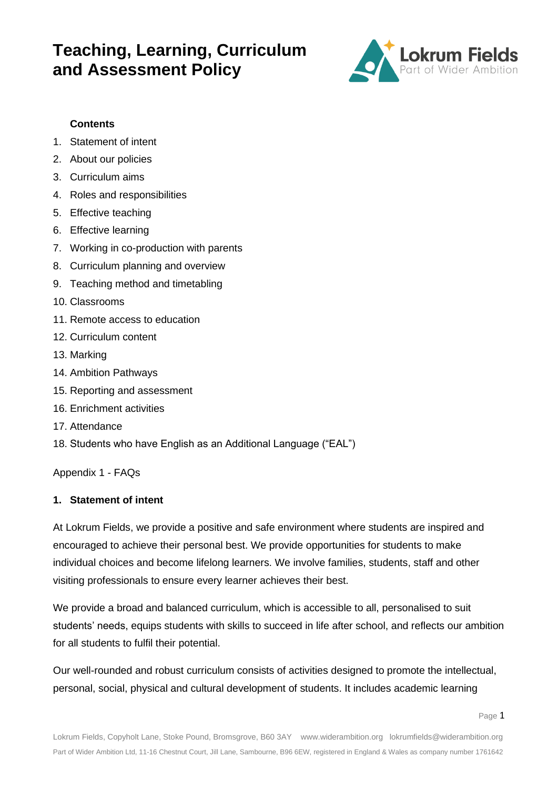

### **Contents**

- 1. Statement of intent
- 2. About our policies
- 3. Curriculum aims
- 4. Roles and responsibilities
- 5. Effective teaching
- 6. Effective learning
- 7. Working in co-production with parents
- 8. Curriculum planning and overview
- 9. Teaching method and timetabling
- 10. Classrooms
- 11. Remote access to education
- 12. Curriculum content
- 13. Marking
- 14. Ambition Pathways
- 15. Reporting and assessment
- 16. Enrichment activities
- 17. Attendance
- 18. Students who have English as an Additional Language ("EAL")

Appendix 1 - FAQs

#### **1. Statement of intent**

At Lokrum Fields, we provide a positive and safe environment where students are inspired and encouraged to achieve their personal best. We provide opportunities for students to make individual choices and become lifelong learners. We involve families, students, staff and other visiting professionals to ensure every learner achieves their best.

We provide a broad and balanced curriculum, which is accessible to all, personalised to suit students' needs, equips students with skills to succeed in life after school, and reflects our ambition for all students to fulfil their potential.

Our well-rounded and robust curriculum consists of activities designed to promote the intellectual, personal, social, physical and cultural development of students. It includes academic learning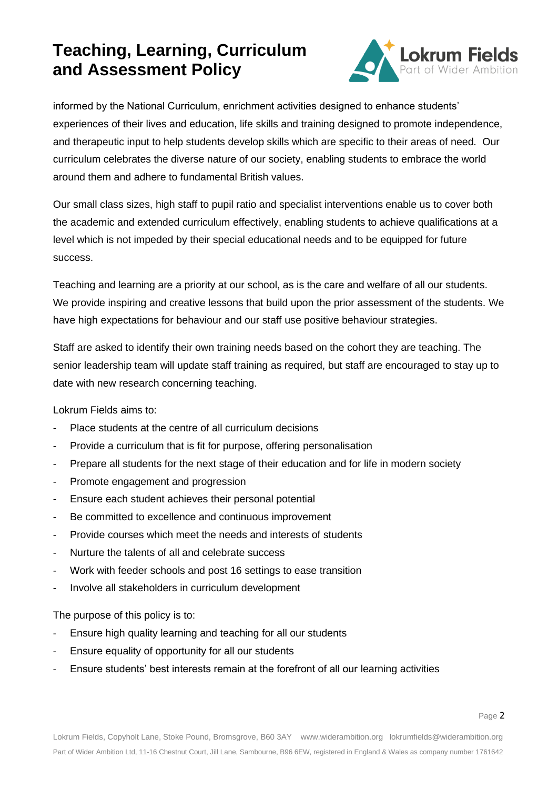

informed by the National Curriculum, enrichment activities designed to enhance students' experiences of their lives and education, life skills and training designed to promote independence, and therapeutic input to help students develop skills which are specific to their areas of need. Our curriculum celebrates the diverse nature of our society, enabling students to embrace the world around them and adhere to fundamental British values.

Our small class sizes, high staff to pupil ratio and specialist interventions enable us to cover both the academic and extended curriculum effectively, enabling students to achieve qualifications at a level which is not impeded by their special educational needs and to be equipped for future success.

Teaching and learning are a priority at our school, as is the care and welfare of all our students. We provide inspiring and creative lessons that build upon the prior assessment of the students. We have high expectations for behaviour and our staff use positive behaviour strategies.

Staff are asked to identify their own training needs based on the cohort they are teaching. The senior leadership team will update staff training as required, but staff are encouraged to stay up to date with new research concerning teaching.

Lokrum Fields aims to:

- Place students at the centre of all curriculum decisions
- Provide a curriculum that is fit for purpose, offering personalisation
- Prepare all students for the next stage of their education and for life in modern society
- Promote engagement and progression
- Ensure each student achieves their personal potential
- Be committed to excellence and continuous improvement
- Provide courses which meet the needs and interests of students
- Nurture the talents of all and celebrate success
- Work with feeder schools and post 16 settings to ease transition
- Involve all stakeholders in curriculum development

The purpose of this policy is to:

- Ensure high quality learning and teaching for all our students
- Ensure equality of opportunity for all our students
- Ensure students' best interests remain at the forefront of all our learning activities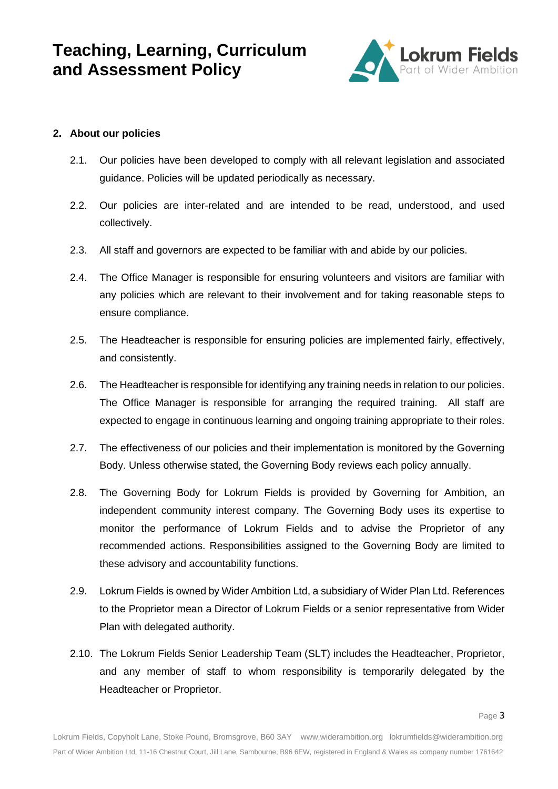

### **2. About our policies**

- 2.1. Our policies have been developed to comply with all relevant legislation and associated guidance. Policies will be updated periodically as necessary.
- 2.2. Our policies are inter-related and are intended to be read, understood, and used collectively.
- 2.3. All staff and governors are expected to be familiar with and abide by our policies.
- 2.4. The Office Manager is responsible for ensuring volunteers and visitors are familiar with any policies which are relevant to their involvement and for taking reasonable steps to ensure compliance.
- 2.5. The Headteacher is responsible for ensuring policies are implemented fairly, effectively, and consistently.
- 2.6. The Headteacher is responsible for identifying any training needs in relation to our policies. The Office Manager is responsible for arranging the required training. All staff are expected to engage in continuous learning and ongoing training appropriate to their roles.
- 2.7. The effectiveness of our policies and their implementation is monitored by the Governing Body. Unless otherwise stated, the Governing Body reviews each policy annually.
- 2.8. The Governing Body for Lokrum Fields is provided by Governing for Ambition, an independent community interest company. The Governing Body uses its expertise to monitor the performance of Lokrum Fields and to advise the Proprietor of any recommended actions. Responsibilities assigned to the Governing Body are limited to these advisory and accountability functions.
- 2.9. Lokrum Fields is owned by Wider Ambition Ltd, a subsidiary of Wider Plan Ltd. References to the Proprietor mean a Director of Lokrum Fields or a senior representative from Wider Plan with delegated authority.
- 2.10. The Lokrum Fields Senior Leadership Team (SLT) includes the Headteacher, Proprietor, and any member of staff to whom responsibility is temporarily delegated by the Headteacher or Proprietor.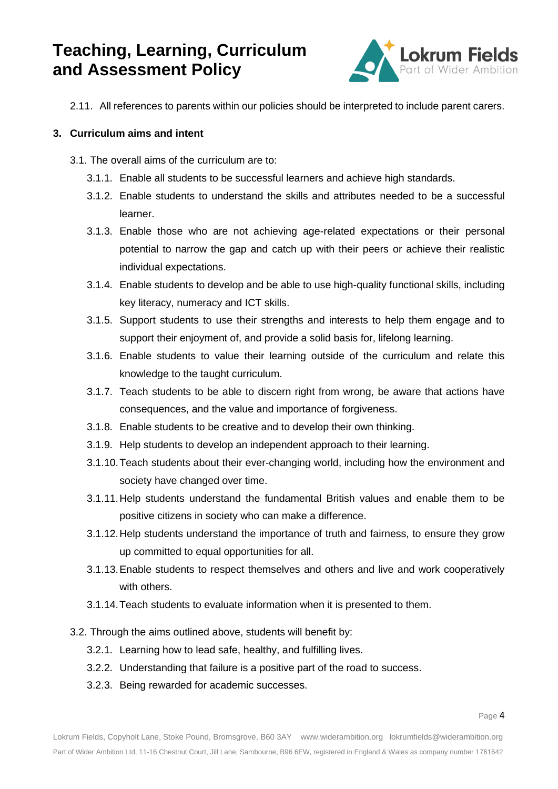

2.11. All references to parents within our policies should be interpreted to include parent carers.

### **3. Curriculum aims and intent**

- 3.1. The overall aims of the curriculum are to:
	- 3.1.1. Enable all students to be successful learners and achieve high standards.
	- 3.1.2. Enable students to understand the skills and attributes needed to be a successful learner.
	- 3.1.3. Enable those who are not achieving age-related expectations or their personal potential to narrow the gap and catch up with their peers or achieve their realistic individual expectations.
	- 3.1.4. Enable students to develop and be able to use high-quality functional skills, including key literacy, numeracy and ICT skills.
	- 3.1.5. Support students to use their strengths and interests to help them engage and to support their enjoyment of, and provide a solid basis for, lifelong learning.
	- 3.1.6. Enable students to value their learning outside of the curriculum and relate this knowledge to the taught curriculum.
	- 3.1.7. Teach students to be able to discern right from wrong, be aware that actions have consequences, and the value and importance of forgiveness.
	- 3.1.8. Enable students to be creative and to develop their own thinking.
	- 3.1.9. Help students to develop an independent approach to their learning.
	- 3.1.10.Teach students about their ever-changing world, including how the environment and society have changed over time.
	- 3.1.11.Help students understand the fundamental British values and enable them to be positive citizens in society who can make a difference.
	- 3.1.12.Help students understand the importance of truth and fairness, to ensure they grow up committed to equal opportunities for all.
	- 3.1.13.Enable students to respect themselves and others and live and work cooperatively with others.
	- 3.1.14.Teach students to evaluate information when it is presented to them.
- 3.2. Through the aims outlined above, students will benefit by:
	- 3.2.1. Learning how to lead safe, healthy, and fulfilling lives.
	- 3.2.2. Understanding that failure is a positive part of the road to success.
	- 3.2.3. Being rewarded for academic successes.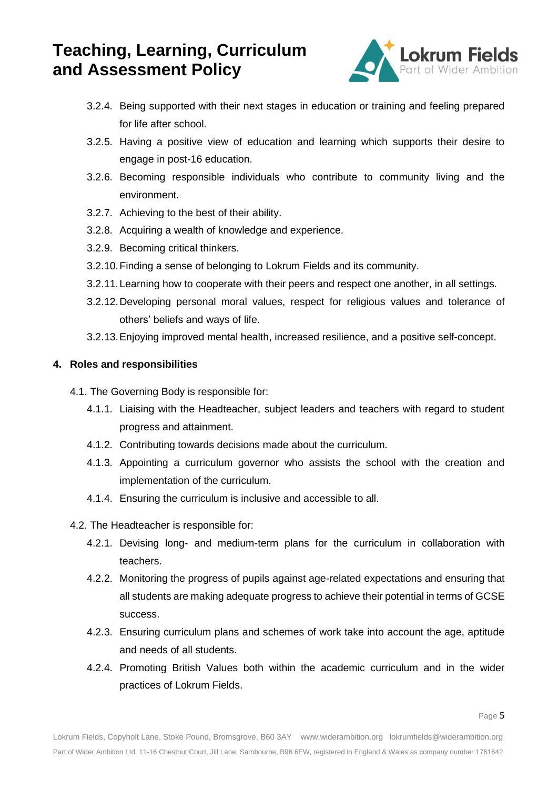

- 3.2.4. Being supported with their next stages in education or training and feeling prepared for life after school.
- 3.2.5. Having a positive view of education and learning which supports their desire to engage in post-16 education.
- 3.2.6. Becoming responsible individuals who contribute to community living and the environment.
- 3.2.7. Achieving to the best of their ability.
- 3.2.8. Acquiring a wealth of knowledge and experience.
- 3.2.9. Becoming critical thinkers.
- 3.2.10.Finding a sense of belonging to Lokrum Fields and its community.
- 3.2.11.Learning how to cooperate with their peers and respect one another, in all settings.
- 3.2.12.Developing personal moral values, respect for religious values and tolerance of others' beliefs and ways of life.
- 3.2.13.Enjoying improved mental health, increased resilience, and a positive self-concept.

### **4. Roles and responsibilities**

- 4.1. The Governing Body is responsible for:
	- 4.1.1. Liaising with the Headteacher, subject leaders and teachers with regard to student progress and attainment.
	- 4.1.2. Contributing towards decisions made about the curriculum.
	- 4.1.3. Appointing a curriculum governor who assists the school with the creation and implementation of the curriculum.
	- 4.1.4. Ensuring the curriculum is inclusive and accessible to all.
- 4.2. The Headteacher is responsible for:
	- 4.2.1. Devising long- and medium-term plans for the curriculum in collaboration with teachers.
	- 4.2.2. Monitoring the progress of pupils against age-related expectations and ensuring that all students are making adequate progress to achieve their potential in terms of GCSE success.
	- 4.2.3. Ensuring curriculum plans and schemes of work take into account the age, aptitude and needs of all students.
	- 4.2.4. Promoting British Values both within the academic curriculum and in the wider practices of Lokrum Fields.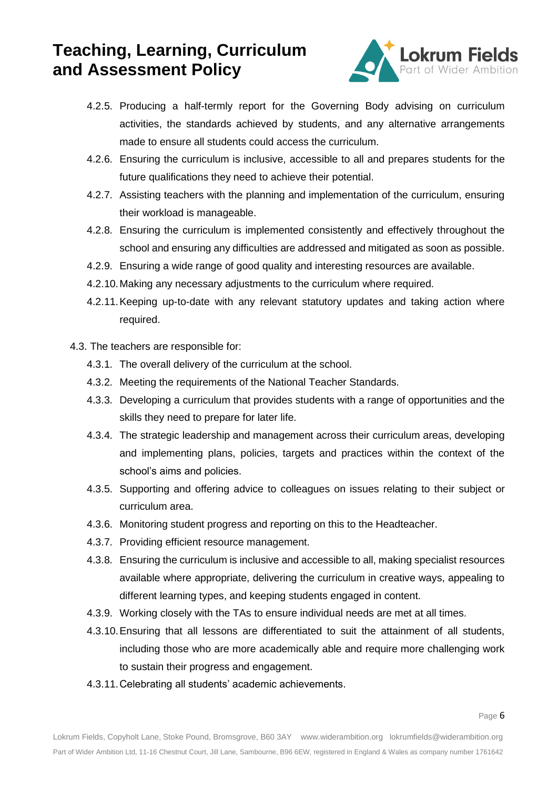

- 4.2.5. Producing a half-termly report for the Governing Body advising on curriculum activities, the standards achieved by students, and any alternative arrangements made to ensure all students could access the curriculum.
- 4.2.6. Ensuring the curriculum is inclusive, accessible to all and prepares students for the future qualifications they need to achieve their potential.
- 4.2.7. Assisting teachers with the planning and implementation of the curriculum, ensuring their workload is manageable.
- 4.2.8. Ensuring the curriculum is implemented consistently and effectively throughout the school and ensuring any difficulties are addressed and mitigated as soon as possible.
- 4.2.9. Ensuring a wide range of good quality and interesting resources are available.
- 4.2.10.Making any necessary adjustments to the curriculum where required.
- 4.2.11.Keeping up-to-date with any relevant statutory updates and taking action where required.
- 4.3. The teachers are responsible for:
	- 4.3.1. The overall delivery of the curriculum at the school.
	- 4.3.2. Meeting the requirements of the National Teacher Standards.
	- 4.3.3. Developing a curriculum that provides students with a range of opportunities and the skills they need to prepare for later life.
	- 4.3.4. The strategic leadership and management across their curriculum areas, developing and implementing plans, policies, targets and practices within the context of the school's aims and policies.
	- 4.3.5. Supporting and offering advice to colleagues on issues relating to their subject or curriculum area.
	- 4.3.6. Monitoring student progress and reporting on this to the Headteacher.
	- 4.3.7. Providing efficient resource management.
	- 4.3.8. Ensuring the curriculum is inclusive and accessible to all, making specialist resources available where appropriate, delivering the curriculum in creative ways, appealing to different learning types, and keeping students engaged in content.
	- 4.3.9. Working closely with the TAs to ensure individual needs are met at all times.
	- 4.3.10.Ensuring that all lessons are differentiated to suit the attainment of all students, including those who are more academically able and require more challenging work to sustain their progress and engagement.
	- 4.3.11.Celebrating all students' academic achievements.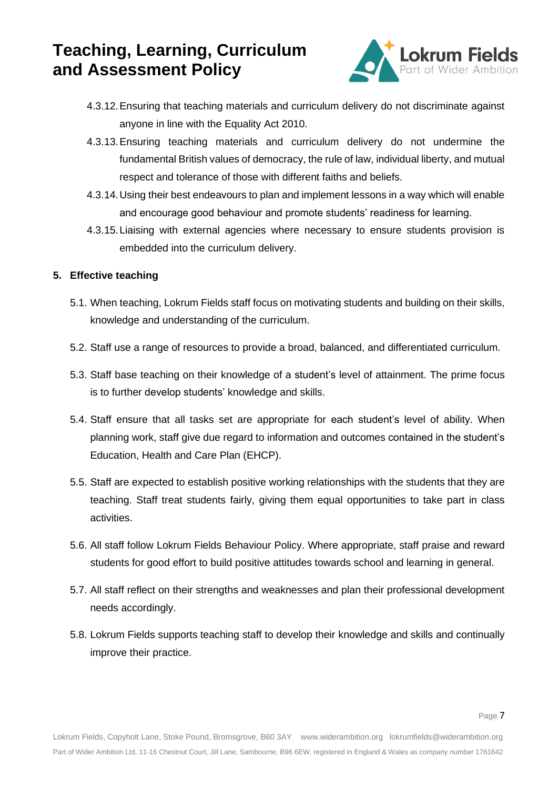

- 4.3.12.Ensuring that teaching materials and curriculum delivery do not discriminate against anyone in line with the Equality Act 2010.
- 4.3.13.Ensuring teaching materials and curriculum delivery do not undermine the fundamental British values of democracy, the rule of law, individual liberty, and mutual respect and tolerance of those with different faiths and beliefs.
- 4.3.14.Using their best endeavours to plan and implement lessons in a way which will enable and encourage good behaviour and promote students' readiness for learning.
- 4.3.15.Liaising with external agencies where necessary to ensure students provision is embedded into the curriculum delivery.

### **5. Effective teaching**

- 5.1. When teaching, Lokrum Fields staff focus on motivating students and building on their skills, knowledge and understanding of the curriculum.
- 5.2. Staff use a range of resources to provide a broad, balanced, and differentiated curriculum.
- 5.3. Staff base teaching on their knowledge of a student's level of attainment. The prime focus is to further develop students' knowledge and skills.
- 5.4. Staff ensure that all tasks set are appropriate for each student's level of ability. When planning work, staff give due regard to information and outcomes contained in the student's Education, Health and Care Plan (EHCP).
- 5.5. Staff are expected to establish positive working relationships with the students that they are teaching. Staff treat students fairly, giving them equal opportunities to take part in class activities.
- 5.6. All staff follow Lokrum Fields Behaviour Policy. Where appropriate, staff praise and reward students for good effort to build positive attitudes towards school and learning in general.
- 5.7. All staff reflect on their strengths and weaknesses and plan their professional development needs accordingly.
- 5.8. Lokrum Fields supports teaching staff to develop their knowledge and skills and continually improve their practice.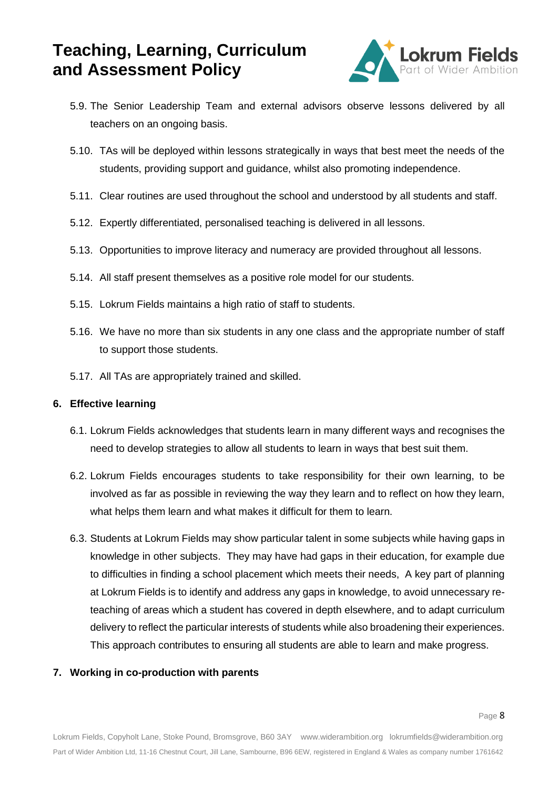

- 5.9. The Senior Leadership Team and external advisors observe lessons delivered by all teachers on an ongoing basis.
- 5.10. TAs will be deployed within lessons strategically in ways that best meet the needs of the students, providing support and guidance, whilst also promoting independence.
- 5.11. Clear routines are used throughout the school and understood by all students and staff.
- 5.12. Expertly differentiated, personalised teaching is delivered in all lessons.
- 5.13. Opportunities to improve literacy and numeracy are provided throughout all lessons.
- 5.14. All staff present themselves as a positive role model for our students.
- 5.15. Lokrum Fields maintains a high ratio of staff to students.
- 5.16. We have no more than six students in any one class and the appropriate number of staff to support those students.
- 5.17. All TAs are appropriately trained and skilled.

#### **6. Effective learning**

- 6.1. Lokrum Fields acknowledges that students learn in many different ways and recognises the need to develop strategies to allow all students to learn in ways that best suit them.
- 6.2. Lokrum Fields encourages students to take responsibility for their own learning, to be involved as far as possible in reviewing the way they learn and to reflect on how they learn, what helps them learn and what makes it difficult for them to learn.
- 6.3. Students at Lokrum Fields may show particular talent in some subjects while having gaps in knowledge in other subjects. They may have had gaps in their education, for example due to difficulties in finding a school placement which meets their needs, A key part of planning at Lokrum Fields is to identify and address any gaps in knowledge, to avoid unnecessary reteaching of areas which a student has covered in depth elsewhere, and to adapt curriculum delivery to reflect the particular interests of students while also broadening their experiences. This approach contributes to ensuring all students are able to learn and make progress.

### **7. Working in co-production with parents**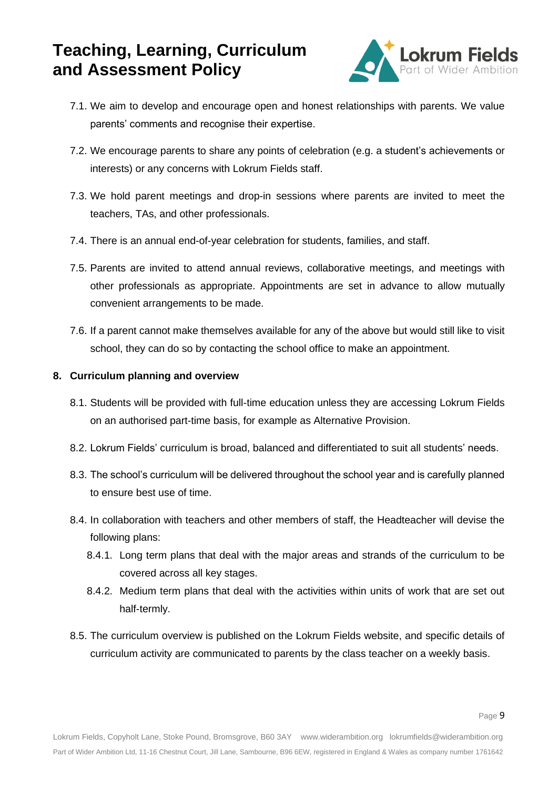

- 7.1. We aim to develop and encourage open and honest relationships with parents. We value parents' comments and recognise their expertise.
- 7.2. We encourage parents to share any points of celebration (e.g. a student's achievements or interests) or any concerns with Lokrum Fields staff.
- 7.3. We hold parent meetings and drop-in sessions where parents are invited to meet the teachers, TAs, and other professionals.
- 7.4. There is an annual end-of-year celebration for students, families, and staff.
- 7.5. Parents are invited to attend annual reviews, collaborative meetings, and meetings with other professionals as appropriate. Appointments are set in advance to allow mutually convenient arrangements to be made.
- 7.6. If a parent cannot make themselves available for any of the above but would still like to visit school, they can do so by contacting the school office to make an appointment.

### **8. Curriculum planning and overview**

- 8.1. Students will be provided with full-time education unless they are accessing Lokrum Fields on an authorised part-time basis, for example as Alternative Provision.
- 8.2. Lokrum Fields' curriculum is broad, balanced and differentiated to suit all students' needs.
- 8.3. The school's curriculum will be delivered throughout the school year and is carefully planned to ensure best use of time.
- 8.4. In collaboration with teachers and other members of staff, the Headteacher will devise the following plans:
	- 8.4.1. Long term plans that deal with the major areas and strands of the curriculum to be covered across all key stages.
	- 8.4.2. Medium term plans that deal with the activities within units of work that are set out half-termly.
- 8.5. The curriculum overview is published on the Lokrum Fields website, and specific details of curriculum activity are communicated to parents by the class teacher on a weekly basis.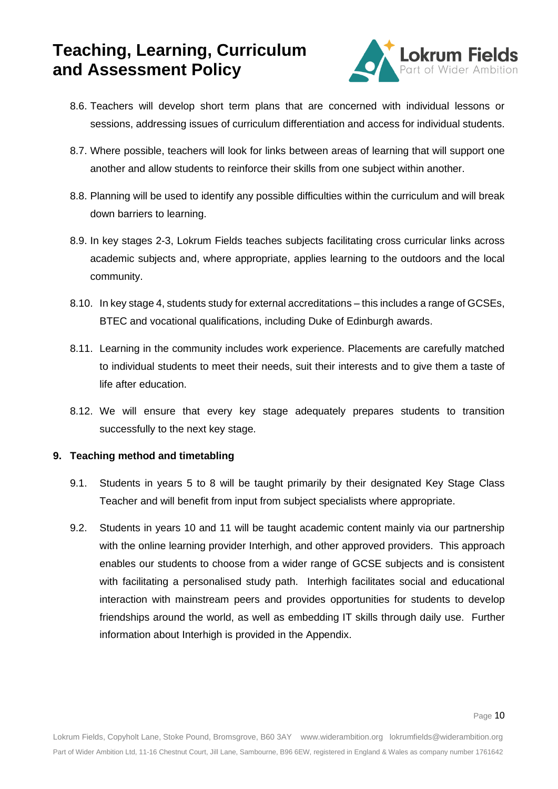

- 8.6. Teachers will develop short term plans that are concerned with individual lessons or sessions, addressing issues of curriculum differentiation and access for individual students.
- 8.7. Where possible, teachers will look for links between areas of learning that will support one another and allow students to reinforce their skills from one subject within another.
- 8.8. Planning will be used to identify any possible difficulties within the curriculum and will break down barriers to learning.
- 8.9. In key stages 2-3, Lokrum Fields teaches subjects facilitating cross curricular links across academic subjects and, where appropriate, applies learning to the outdoors and the local community.
- 8.10. In key stage 4, students study for external accreditations this includes a range of GCSEs, BTEC and vocational qualifications, including Duke of Edinburgh awards.
- 8.11. Learning in the community includes work experience. Placements are carefully matched to individual students to meet their needs, suit their interests and to give them a taste of life after education.
- 8.12. We will ensure that every key stage adequately prepares students to transition successfully to the next key stage.

### **9. Teaching method and timetabling**

- 9.1. Students in years 5 to 8 will be taught primarily by their designated Key Stage Class Teacher and will benefit from input from subject specialists where appropriate.
- 9.2. Students in years 10 and 11 will be taught academic content mainly via our partnership with the online learning provider Interhigh, and other approved providers. This approach enables our students to choose from a wider range of GCSE subjects and is consistent with facilitating a personalised study path. Interhigh facilitates social and educational interaction with mainstream peers and provides opportunities for students to develop friendships around the world, as well as embedding IT skills through daily use. Further information about Interhigh is provided in the Appendix.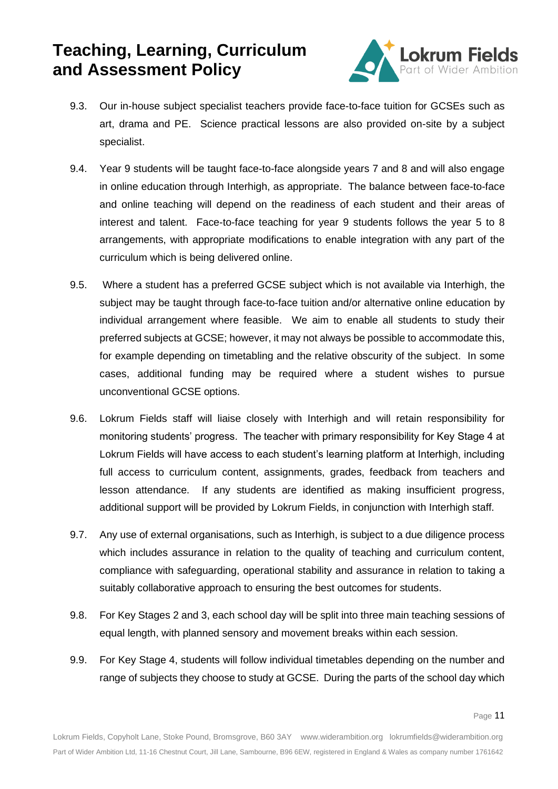

- 9.3. Our in-house subject specialist teachers provide face-to-face tuition for GCSEs such as art, drama and PE. Science practical lessons are also provided on-site by a subject specialist.
- 9.4. Year 9 students will be taught face-to-face alongside years 7 and 8 and will also engage in online education through Interhigh, as appropriate. The balance between face-to-face and online teaching will depend on the readiness of each student and their areas of interest and talent. Face-to-face teaching for year 9 students follows the year 5 to 8 arrangements, with appropriate modifications to enable integration with any part of the curriculum which is being delivered online.
- 9.5. Where a student has a preferred GCSE subject which is not available via Interhigh, the subject may be taught through face-to-face tuition and/or alternative online education by individual arrangement where feasible. We aim to enable all students to study their preferred subjects at GCSE; however, it may not always be possible to accommodate this, for example depending on timetabling and the relative obscurity of the subject. In some cases, additional funding may be required where a student wishes to pursue unconventional GCSE options.
- 9.6. Lokrum Fields staff will liaise closely with Interhigh and will retain responsibility for monitoring students' progress. The teacher with primary responsibility for Key Stage 4 at Lokrum Fields will have access to each student's learning platform at Interhigh, including full access to curriculum content, assignments, grades, feedback from teachers and lesson attendance. If any students are identified as making insufficient progress, additional support will be provided by Lokrum Fields, in conjunction with Interhigh staff.
- 9.7. Any use of external organisations, such as Interhigh, is subject to a due diligence process which includes assurance in relation to the quality of teaching and curriculum content, compliance with safeguarding, operational stability and assurance in relation to taking a suitably collaborative approach to ensuring the best outcomes for students.
- 9.8. For Key Stages 2 and 3, each school day will be split into three main teaching sessions of equal length, with planned sensory and movement breaks within each session.
- 9.9. For Key Stage 4, students will follow individual timetables depending on the number and range of subjects they choose to study at GCSE. During the parts of the school day which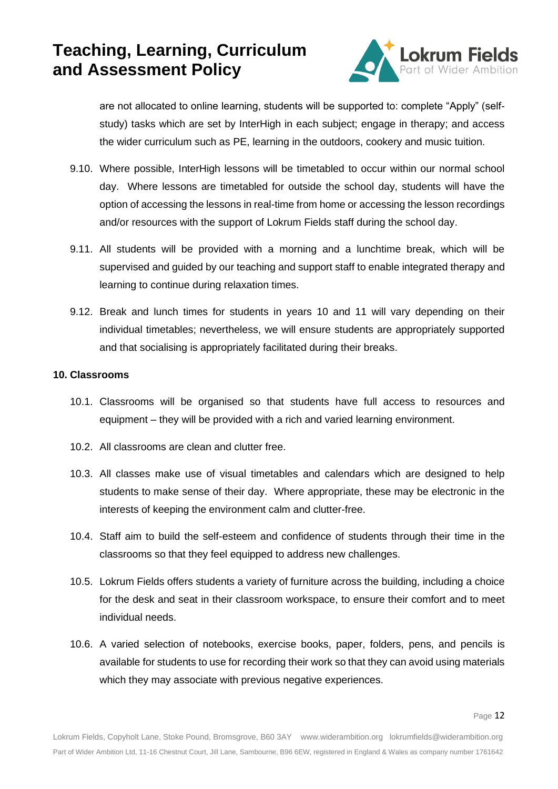

are not allocated to online learning, students will be supported to: complete "Apply" (selfstudy) tasks which are set by InterHigh in each subject; engage in therapy; and access the wider curriculum such as PE, learning in the outdoors, cookery and music tuition.

- 9.10. Where possible, InterHigh lessons will be timetabled to occur within our normal school day. Where lessons are timetabled for outside the school day, students will have the option of accessing the lessons in real-time from home or accessing the lesson recordings and/or resources with the support of Lokrum Fields staff during the school day.
- 9.11. All students will be provided with a morning and a lunchtime break, which will be supervised and guided by our teaching and support staff to enable integrated therapy and learning to continue during relaxation times.
- 9.12. Break and lunch times for students in years 10 and 11 will vary depending on their individual timetables; nevertheless, we will ensure students are appropriately supported and that socialising is appropriately facilitated during their breaks.

#### **10. Classrooms**

- 10.1. Classrooms will be organised so that students have full access to resources and equipment – they will be provided with a rich and varied learning environment.
- 10.2. All classrooms are clean and clutter free.
- 10.3. All classes make use of visual timetables and calendars which are designed to help students to make sense of their day. Where appropriate, these may be electronic in the interests of keeping the environment calm and clutter-free.
- 10.4. Staff aim to build the self-esteem and confidence of students through their time in the classrooms so that they feel equipped to address new challenges.
- 10.5. Lokrum Fields offers students a variety of furniture across the building, including a choice for the desk and seat in their classroom workspace, to ensure their comfort and to meet individual needs.
- 10.6. A varied selection of notebooks, exercise books, paper, folders, pens, and pencils is available for students to use for recording their work so that they can avoid using materials which they may associate with previous negative experiences.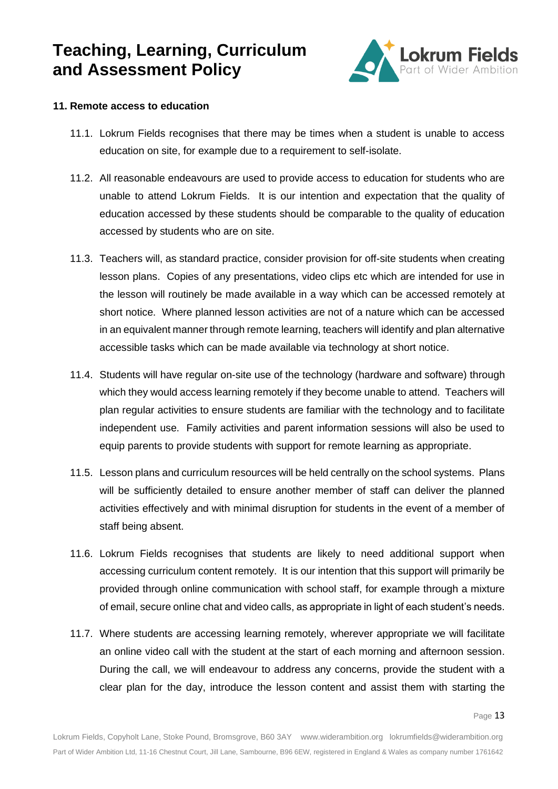

#### **11. Remote access to education**

- 11.1. Lokrum Fields recognises that there may be times when a student is unable to access education on site, for example due to a requirement to self-isolate.
- 11.2. All reasonable endeavours are used to provide access to education for students who are unable to attend Lokrum Fields. It is our intention and expectation that the quality of education accessed by these students should be comparable to the quality of education accessed by students who are on site.
- 11.3. Teachers will, as standard practice, consider provision for off-site students when creating lesson plans. Copies of any presentations, video clips etc which are intended for use in the lesson will routinely be made available in a way which can be accessed remotely at short notice. Where planned lesson activities are not of a nature which can be accessed in an equivalent manner through remote learning, teachers will identify and plan alternative accessible tasks which can be made available via technology at short notice.
- 11.4. Students will have regular on-site use of the technology (hardware and software) through which they would access learning remotely if they become unable to attend. Teachers will plan regular activities to ensure students are familiar with the technology and to facilitate independent use. Family activities and parent information sessions will also be used to equip parents to provide students with support for remote learning as appropriate.
- 11.5. Lesson plans and curriculum resources will be held centrally on the school systems. Plans will be sufficiently detailed to ensure another member of staff can deliver the planned activities effectively and with minimal disruption for students in the event of a member of staff being absent.
- 11.6. Lokrum Fields recognises that students are likely to need additional support when accessing curriculum content remotely. It is our intention that this support will primarily be provided through online communication with school staff, for example through a mixture of email, secure online chat and video calls, as appropriate in light of each student's needs.
- 11.7. Where students are accessing learning remotely, wherever appropriate we will facilitate an online video call with the student at the start of each morning and afternoon session. During the call, we will endeavour to address any concerns, provide the student with a clear plan for the day, introduce the lesson content and assist them with starting the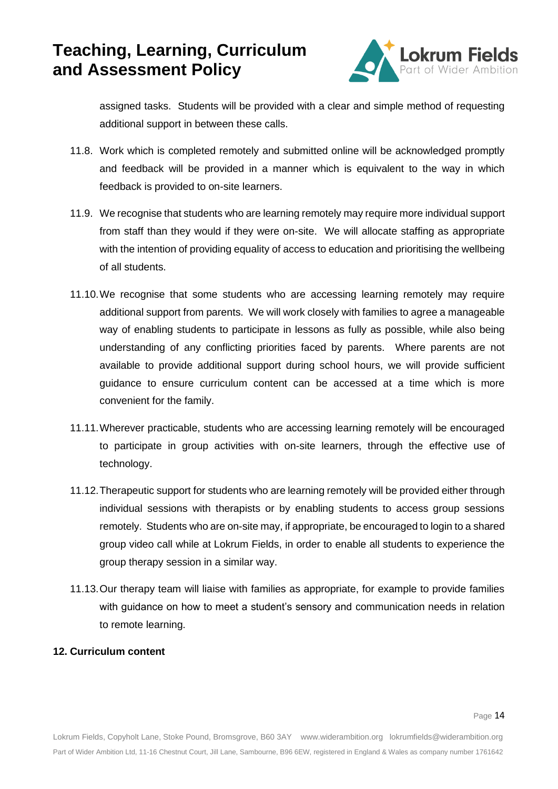

assigned tasks. Students will be provided with a clear and simple method of requesting additional support in between these calls.

- 11.8. Work which is completed remotely and submitted online will be acknowledged promptly and feedback will be provided in a manner which is equivalent to the way in which feedback is provided to on-site learners.
- 11.9. We recognise that students who are learning remotely may require more individual support from staff than they would if they were on-site. We will allocate staffing as appropriate with the intention of providing equality of access to education and prioritising the wellbeing of all students.
- 11.10.We recognise that some students who are accessing learning remotely may require additional support from parents. We will work closely with families to agree a manageable way of enabling students to participate in lessons as fully as possible, while also being understanding of any conflicting priorities faced by parents. Where parents are not available to provide additional support during school hours, we will provide sufficient guidance to ensure curriculum content can be accessed at a time which is more convenient for the family.
- 11.11.Wherever practicable, students who are accessing learning remotely will be encouraged to participate in group activities with on-site learners, through the effective use of technology.
- 11.12.Therapeutic support for students who are learning remotely will be provided either through individual sessions with therapists or by enabling students to access group sessions remotely. Students who are on-site may, if appropriate, be encouraged to login to a shared group video call while at Lokrum Fields, in order to enable all students to experience the group therapy session in a similar way.
- 11.13.Our therapy team will liaise with families as appropriate, for example to provide families with guidance on how to meet a student's sensory and communication needs in relation to remote learning.

#### **12. Curriculum content**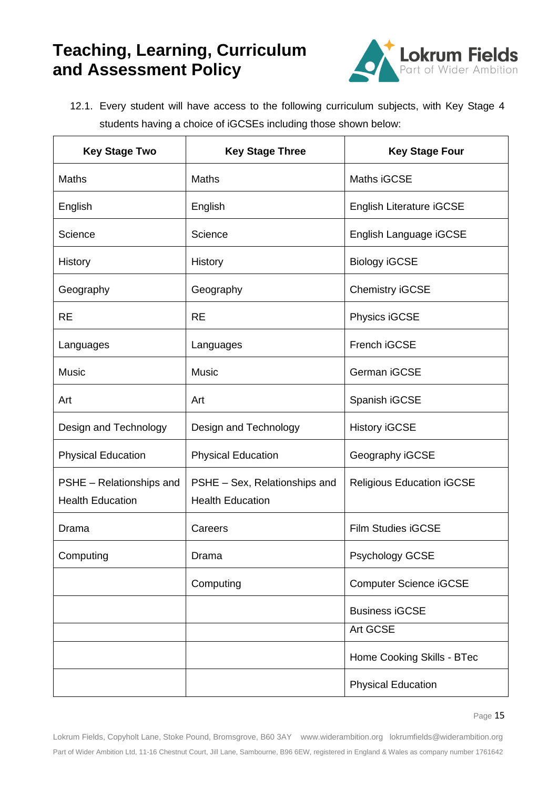

12.1. Every student will have access to the following curriculum subjects, with Key Stage 4 students having a choice of iGCSEs including those shown below:

| <b>Key Stage Two</b>                                | <b>Key Stage Three</b>                                   | <b>Key Stage Four</b>            |
|-----------------------------------------------------|----------------------------------------------------------|----------------------------------|
| Maths                                               | Maths                                                    | Maths iGCSE                      |
| English                                             | English                                                  | <b>English Literature iGCSE</b>  |
| Science                                             | Science                                                  | English Language iGCSE           |
| History                                             | History                                                  | <b>Biology iGCSE</b>             |
| Geography                                           | Geography                                                | <b>Chemistry iGCSE</b>           |
| <b>RE</b>                                           | <b>RE</b>                                                | Physics iGCSE                    |
| Languages                                           | Languages                                                | French iGCSE                     |
| <b>Music</b>                                        | <b>Music</b>                                             | German iGCSE                     |
| Art                                                 | Art                                                      | Spanish iGCSE                    |
| Design and Technology                               | Design and Technology                                    | <b>History iGCSE</b>             |
| <b>Physical Education</b>                           | <b>Physical Education</b>                                | Geography iGCSE                  |
| PSHE - Relationships and<br><b>Health Education</b> | PSHE – Sex, Relationships and<br><b>Health Education</b> | <b>Religious Education iGCSE</b> |
| Drama                                               | Careers                                                  | <b>Film Studies iGCSE</b>        |
| Computing                                           | Drama                                                    | <b>Psychology GCSE</b>           |
|                                                     | Computing                                                | <b>Computer Science iGCSE</b>    |
|                                                     |                                                          | <b>Business iGCSE</b>            |
|                                                     |                                                          | Art GCSE                         |
|                                                     |                                                          | Home Cooking Skills - BTec       |
|                                                     |                                                          | <b>Physical Education</b>        |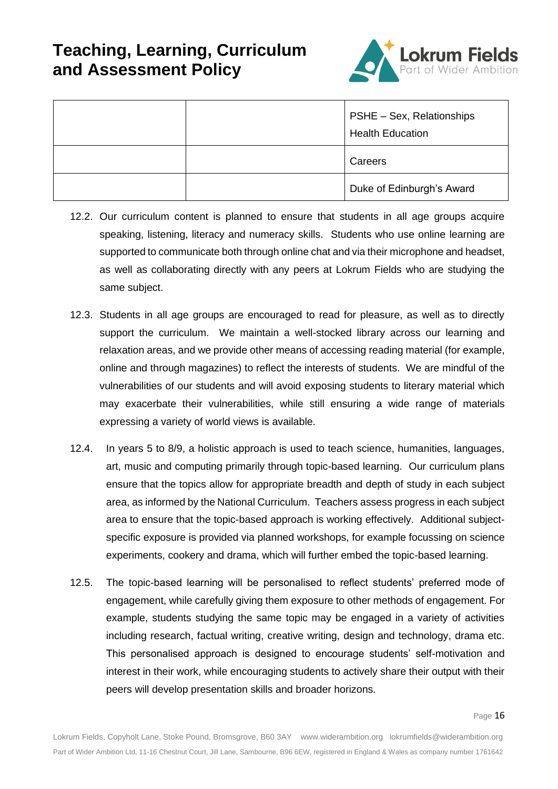

|  | PSHE - Sex, Relationships<br><b>Health Education</b> |
|--|------------------------------------------------------|
|  | Careers                                              |
|  | Duke of Edinburgh's Award                            |

- 12.2. Our curriculum content is planned to ensure that students in all age groups acquire speaking, listening, literacy and numeracy skills. Students who use online learning are supported to communicate both through online chat and via their microphone and headset, as well as collaborating directly with any peers at Lokrum Fields who are studying the same subject.
- 12.3. Students in all age groups are encouraged to read for pleasure, as well as to directly support the curriculum. We maintain a well-stocked library across our learning and relaxation areas, and we provide other means of accessing reading material (for example, online and through magazines) to reflect the interests of students. We are mindful of the vulnerabilities of our students and will avoid exposing students to literary material which may exacerbate their vulnerabilities, while still ensuring a wide range of materials expressing a variety of world views is available.
- 12.4. In years 5 to 8/9, a holistic approach is used to teach science, humanities, languages, art, music and computing primarily through topic-based learning. Our curriculum plans ensure that the topics allow for appropriate breadth and depth of study in each subject area, as informed by the National Curriculum. Teachers assess progress in each subject area to ensure that the topic-based approach is working effectively. Additional subjectspecific exposure is provided via planned workshops, for example focussing on science experiments, cookery and drama, which will further embed the topic-based learning.
- 12.5. The topic-based learning will be personalised to reflect students' preferred mode of engagement, while carefully giving them exposure to other methods of engagement. For example, students studying the same topic may be engaged in a variety of activities including research, factual writing, creative writing, design and technology, drama etc. This personalised approach is designed to encourage students' self-motivation and interest in their work, while encouraging students to actively share their output with their peers will develop presentation skills and broader horizons.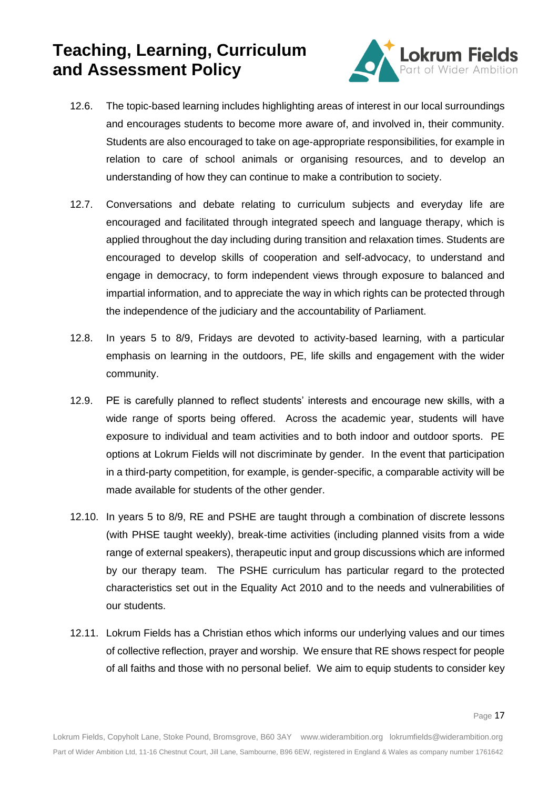

- 12.6. The topic-based learning includes highlighting areas of interest in our local surroundings and encourages students to become more aware of, and involved in, their community. Students are also encouraged to take on age-appropriate responsibilities, for example in relation to care of school animals or organising resources, and to develop an understanding of how they can continue to make a contribution to society.
- 12.7. Conversations and debate relating to curriculum subjects and everyday life are encouraged and facilitated through integrated speech and language therapy, which is applied throughout the day including during transition and relaxation times. Students are encouraged to develop skills of cooperation and self-advocacy, to understand and engage in democracy, to form independent views through exposure to balanced and impartial information, and to appreciate the way in which rights can be protected through the independence of the judiciary and the accountability of Parliament.
- 12.8. In years 5 to 8/9, Fridays are devoted to activity-based learning, with a particular emphasis on learning in the outdoors, PE, life skills and engagement with the wider community.
- 12.9. PE is carefully planned to reflect students' interests and encourage new skills, with a wide range of sports being offered. Across the academic year, students will have exposure to individual and team activities and to both indoor and outdoor sports. PE options at Lokrum Fields will not discriminate by gender. In the event that participation in a third-party competition, for example, is gender-specific, a comparable activity will be made available for students of the other gender.
- 12.10. In years 5 to 8/9, RE and PSHE are taught through a combination of discrete lessons (with PHSE taught weekly), break-time activities (including planned visits from a wide range of external speakers), therapeutic input and group discussions which are informed by our therapy team. The PSHE curriculum has particular regard to the protected characteristics set out in the Equality Act 2010 and to the needs and vulnerabilities of our students.
- 12.11. Lokrum Fields has a Christian ethos which informs our underlying values and our times of collective reflection, prayer and worship. We ensure that RE shows respect for people of all faiths and those with no personal belief. We aim to equip students to consider key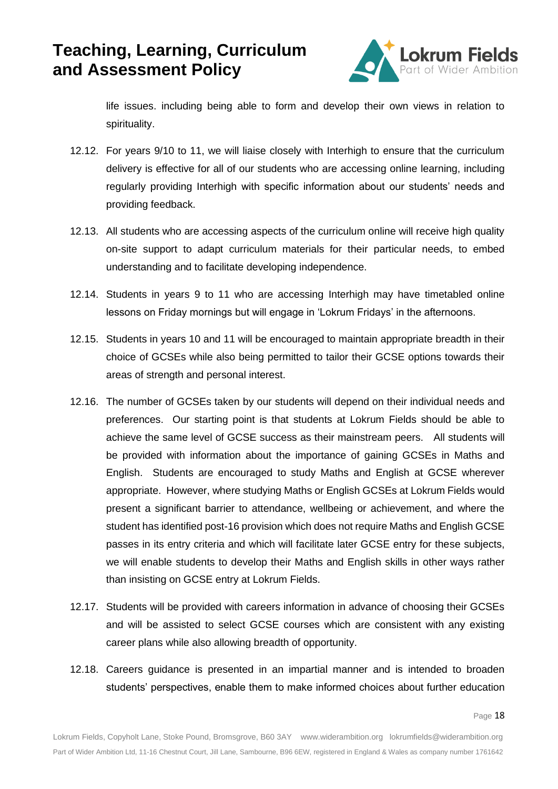

life issues. including being able to form and develop their own views in relation to spirituality.

- 12.12. For years 9/10 to 11, we will liaise closely with Interhigh to ensure that the curriculum delivery is effective for all of our students who are accessing online learning, including regularly providing Interhigh with specific information about our students' needs and providing feedback.
- 12.13. All students who are accessing aspects of the curriculum online will receive high quality on-site support to adapt curriculum materials for their particular needs, to embed understanding and to facilitate developing independence.
- 12.14. Students in years 9 to 11 who are accessing Interhigh may have timetabled online lessons on Friday mornings but will engage in 'Lokrum Fridays' in the afternoons.
- 12.15. Students in years 10 and 11 will be encouraged to maintain appropriate breadth in their choice of GCSEs while also being permitted to tailor their GCSE options towards their areas of strength and personal interest.
- 12.16. The number of GCSEs taken by our students will depend on their individual needs and preferences. Our starting point is that students at Lokrum Fields should be able to achieve the same level of GCSE success as their mainstream peers. All students will be provided with information about the importance of gaining GCSEs in Maths and English. Students are encouraged to study Maths and English at GCSE wherever appropriate. However, where studying Maths or English GCSEs at Lokrum Fields would present a significant barrier to attendance, wellbeing or achievement, and where the student has identified post-16 provision which does not require Maths and English GCSE passes in its entry criteria and which will facilitate later GCSE entry for these subjects, we will enable students to develop their Maths and English skills in other ways rather than insisting on GCSE entry at Lokrum Fields.
- 12.17. Students will be provided with careers information in advance of choosing their GCSEs and will be assisted to select GCSE courses which are consistent with any existing career plans while also allowing breadth of opportunity.
- 12.18. Careers guidance is presented in an impartial manner and is intended to broaden students' perspectives, enable them to make informed choices about further education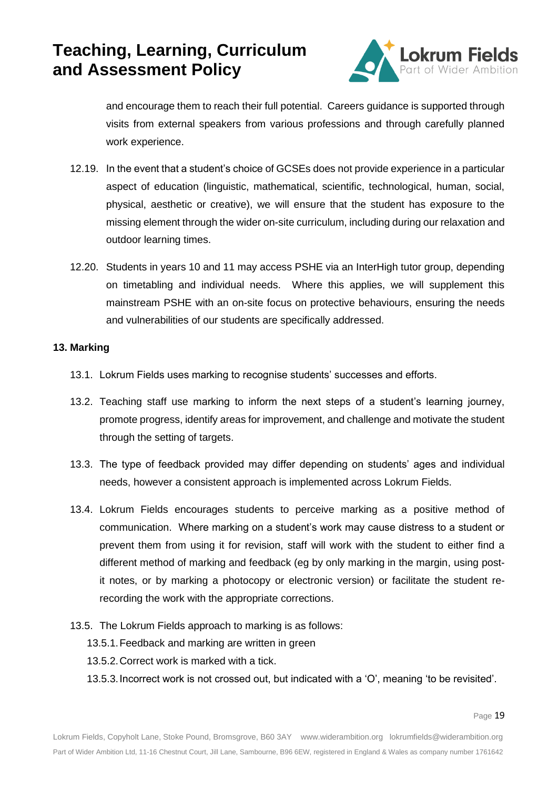

and encourage them to reach their full potential. Careers guidance is supported through visits from external speakers from various professions and through carefully planned work experience.

- 12.19. In the event that a student's choice of GCSEs does not provide experience in a particular aspect of education (linguistic, mathematical, scientific, technological, human, social, physical, aesthetic or creative), we will ensure that the student has exposure to the missing element through the wider on-site curriculum, including during our relaxation and outdoor learning times.
- 12.20. Students in years 10 and 11 may access PSHE via an InterHigh tutor group, depending on timetabling and individual needs. Where this applies, we will supplement this mainstream PSHE with an on-site focus on protective behaviours, ensuring the needs and vulnerabilities of our students are specifically addressed.

#### **13. Marking**

- 13.1. Lokrum Fields uses marking to recognise students' successes and efforts.
- 13.2. Teaching staff use marking to inform the next steps of a student's learning journey, promote progress, identify areas for improvement, and challenge and motivate the student through the setting of targets.
- 13.3. The type of feedback provided may differ depending on students' ages and individual needs, however a consistent approach is implemented across Lokrum Fields.
- 13.4. Lokrum Fields encourages students to perceive marking as a positive method of communication. Where marking on a student's work may cause distress to a student or prevent them from using it for revision, staff will work with the student to either find a different method of marking and feedback (eg by only marking in the margin, using postit notes, or by marking a photocopy or electronic version) or facilitate the student rerecording the work with the appropriate corrections.
- 13.5. The Lokrum Fields approach to marking is as follows:
	- 13.5.1.Feedback and marking are written in green
	- 13.5.2.Correct work is marked with a tick.
	- 13.5.3.Incorrect work is not crossed out, but indicated with a 'O', meaning 'to be revisited'.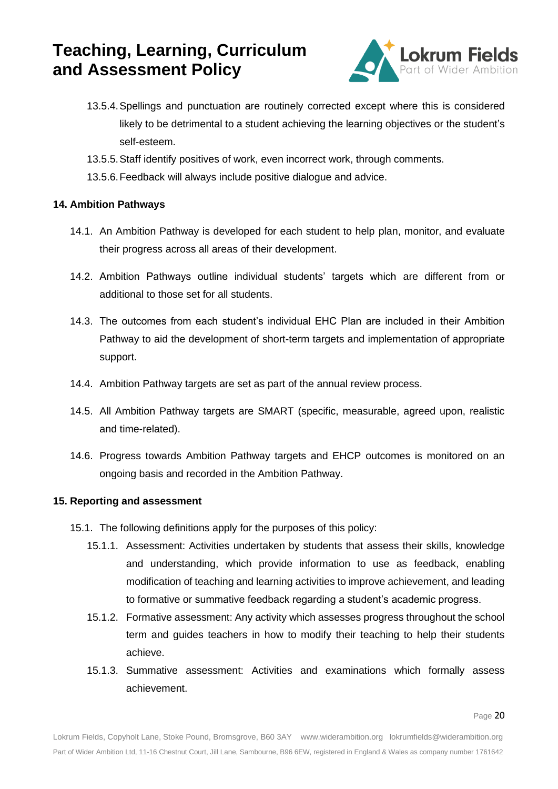

- 13.5.4.Spellings and punctuation are routinely corrected except where this is considered likely to be detrimental to a student achieving the learning objectives or the student's self-esteem.
- 13.5.5.Staff identify positives of work, even incorrect work, through comments.
- 13.5.6.Feedback will always include positive dialogue and advice.

### **14. Ambition Pathways**

- 14.1. An Ambition Pathway is developed for each student to help plan, monitor, and evaluate their progress across all areas of their development.
- 14.2. Ambition Pathways outline individual students' targets which are different from or additional to those set for all students.
- 14.3. The outcomes from each student's individual EHC Plan are included in their Ambition Pathway to aid the development of short-term targets and implementation of appropriate support.
- 14.4. Ambition Pathway targets are set as part of the annual review process.
- 14.5. All Ambition Pathway targets are SMART (specific, measurable, agreed upon, realistic and time-related).
- 14.6. Progress towards Ambition Pathway targets and EHCP outcomes is monitored on an ongoing basis and recorded in the Ambition Pathway.

### **15. Reporting and assessment**

- 15.1. The following definitions apply for the purposes of this policy:
	- 15.1.1. Assessment: Activities undertaken by students that assess their skills, knowledge and understanding, which provide information to use as feedback, enabling modification of teaching and learning activities to improve achievement, and leading to formative or summative feedback regarding a student's academic progress.
	- 15.1.2. Formative assessment: Any activity which assesses progress throughout the school term and guides teachers in how to modify their teaching to help their students achieve.
	- 15.1.3. Summative assessment: Activities and examinations which formally assess achievement.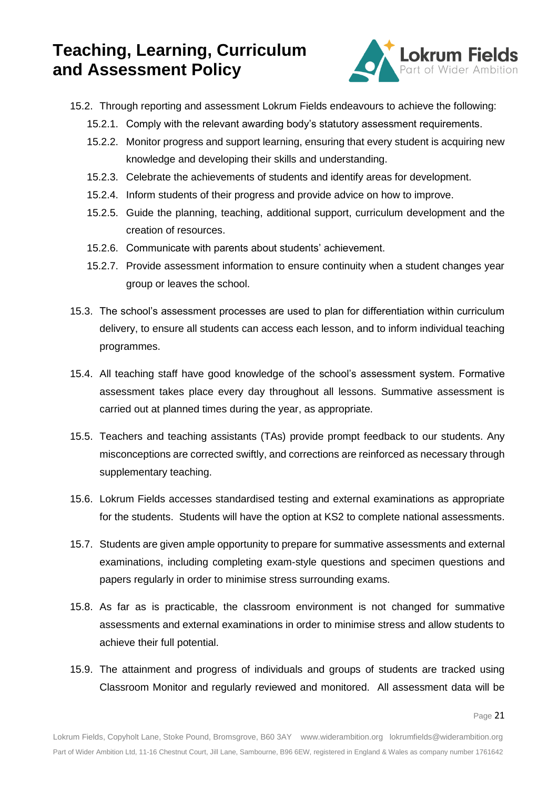

- 15.2. Through reporting and assessment Lokrum Fields endeavours to achieve the following:
	- 15.2.1. Comply with the relevant awarding body's statutory assessment requirements.
	- 15.2.2. Monitor progress and support learning, ensuring that every student is acquiring new knowledge and developing their skills and understanding.
	- 15.2.3. Celebrate the achievements of students and identify areas for development.
	- 15.2.4. Inform students of their progress and provide advice on how to improve.
	- 15.2.5. Guide the planning, teaching, additional support, curriculum development and the creation of resources.
	- 15.2.6. Communicate with parents about students' achievement.
	- 15.2.7. Provide assessment information to ensure continuity when a student changes year group or leaves the school.
- 15.3. The school's assessment processes are used to plan for differentiation within curriculum delivery, to ensure all students can access each lesson, and to inform individual teaching programmes.
- 15.4. All teaching staff have good knowledge of the school's assessment system. Formative assessment takes place every day throughout all lessons. Summative assessment is carried out at planned times during the year, as appropriate.
- 15.5. Teachers and teaching assistants (TAs) provide prompt feedback to our students. Any misconceptions are corrected swiftly, and corrections are reinforced as necessary through supplementary teaching.
- 15.6. Lokrum Fields accesses standardised testing and external examinations as appropriate for the students. Students will have the option at KS2 to complete national assessments.
- 15.7. Students are given ample opportunity to prepare for summative assessments and external examinations, including completing exam-style questions and specimen questions and papers regularly in order to minimise stress surrounding exams.
- 15.8. As far as is practicable, the classroom environment is not changed for summative assessments and external examinations in order to minimise stress and allow students to achieve their full potential.
- 15.9. The attainment and progress of individuals and groups of students are tracked using Classroom Monitor and regularly reviewed and monitored. All assessment data will be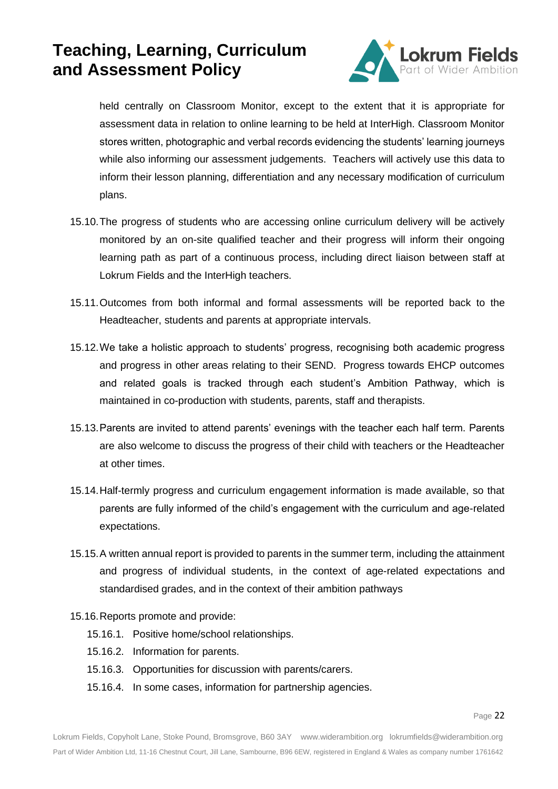

held centrally on Classroom Monitor, except to the extent that it is appropriate for assessment data in relation to online learning to be held at InterHigh. Classroom Monitor stores written, photographic and verbal records evidencing the students' learning journeys while also informing our assessment judgements. Teachers will actively use this data to inform their lesson planning, differentiation and any necessary modification of curriculum plans.

- 15.10.The progress of students who are accessing online curriculum delivery will be actively monitored by an on-site qualified teacher and their progress will inform their ongoing learning path as part of a continuous process, including direct liaison between staff at Lokrum Fields and the InterHigh teachers.
- 15.11.Outcomes from both informal and formal assessments will be reported back to the Headteacher, students and parents at appropriate intervals.
- 15.12.We take a holistic approach to students' progress, recognising both academic progress and progress in other areas relating to their SEND. Progress towards EHCP outcomes and related goals is tracked through each student's Ambition Pathway, which is maintained in co-production with students, parents, staff and therapists.
- 15.13.Parents are invited to attend parents' evenings with the teacher each half term. Parents are also welcome to discuss the progress of their child with teachers or the Headteacher at other times.
- 15.14.Half-termly progress and curriculum engagement information is made available, so that parents are fully informed of the child's engagement with the curriculum and age-related expectations.
- 15.15.A written annual report is provided to parents in the summer term, including the attainment and progress of individual students, in the context of age-related expectations and standardised grades, and in the context of their ambition pathways
- 15.16.Reports promote and provide:
	- 15.16.1. Positive home/school relationships.
	- 15.16.2. Information for parents.
	- 15.16.3. Opportunities for discussion with parents/carers.
	- 15.16.4. In some cases, information for partnership agencies.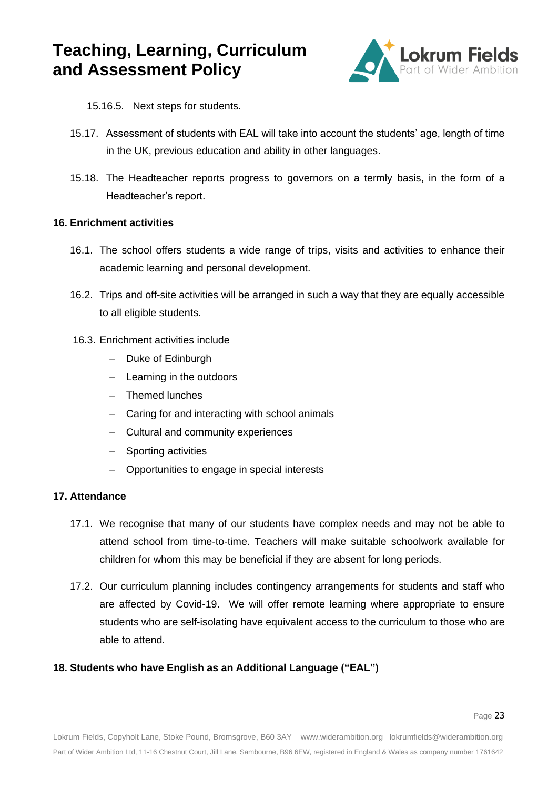

- 15.16.5. Next steps for students.
- 15.17. Assessment of students with EAL will take into account the students' age, length of time in the UK, previous education and ability in other languages.
- 15.18. The Headteacher reports progress to governors on a termly basis, in the form of a Headteacher's report.

#### **16. Enrichment activities**

- 16.1. The school offers students a wide range of trips, visits and activities to enhance their academic learning and personal development.
- 16.2. Trips and off-site activities will be arranged in such a way that they are equally accessible to all eligible students.
- 16.3. Enrichment activities include
	- − Duke of Edinburgh
	- − Learning in the outdoors
	- − Themed lunches
	- − Caring for and interacting with school animals
	- − Cultural and community experiences
	- − Sporting activities
	- − Opportunities to engage in special interests

#### **17. Attendance**

- 17.1. We recognise that many of our students have complex needs and may not be able to attend school from time-to-time. Teachers will make suitable schoolwork available for children for whom this may be beneficial if they are absent for long periods.
- 17.2. Our curriculum planning includes contingency arrangements for students and staff who are affected by Covid-19. We will offer remote learning where appropriate to ensure students who are self-isolating have equivalent access to the curriculum to those who are able to attend.

### **18. Students who have English as an Additional Language ("EAL")**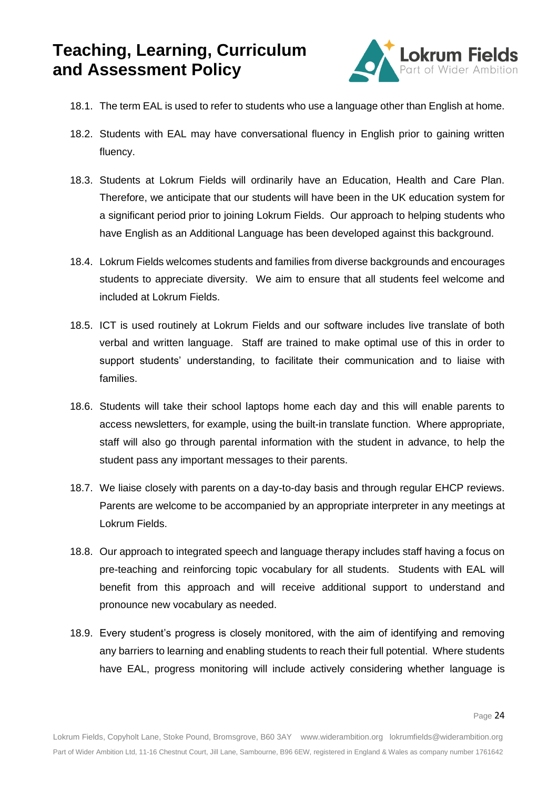

- 18.1. The term EAL is used to refer to students who use a language other than English at home.
- 18.2. Students with EAL may have conversational fluency in English prior to gaining written fluency.
- 18.3. Students at Lokrum Fields will ordinarily have an Education, Health and Care Plan. Therefore, we anticipate that our students will have been in the UK education system for a significant period prior to joining Lokrum Fields. Our approach to helping students who have English as an Additional Language has been developed against this background.
- 18.4. Lokrum Fields welcomes students and families from diverse backgrounds and encourages students to appreciate diversity. We aim to ensure that all students feel welcome and included at Lokrum Fields.
- 18.5. ICT is used routinely at Lokrum Fields and our software includes live translate of both verbal and written language. Staff are trained to make optimal use of this in order to support students' understanding, to facilitate their communication and to liaise with families.
- 18.6. Students will take their school laptops home each day and this will enable parents to access newsletters, for example, using the built-in translate function. Where appropriate, staff will also go through parental information with the student in advance, to help the student pass any important messages to their parents.
- 18.7. We liaise closely with parents on a day-to-day basis and through regular EHCP reviews. Parents are welcome to be accompanied by an appropriate interpreter in any meetings at Lokrum Fields.
- 18.8. Our approach to integrated speech and language therapy includes staff having a focus on pre-teaching and reinforcing topic vocabulary for all students. Students with EAL will benefit from this approach and will receive additional support to understand and pronounce new vocabulary as needed.
- 18.9. Every student's progress is closely monitored, with the aim of identifying and removing any barriers to learning and enabling students to reach their full potential. Where students have EAL, progress monitoring will include actively considering whether language is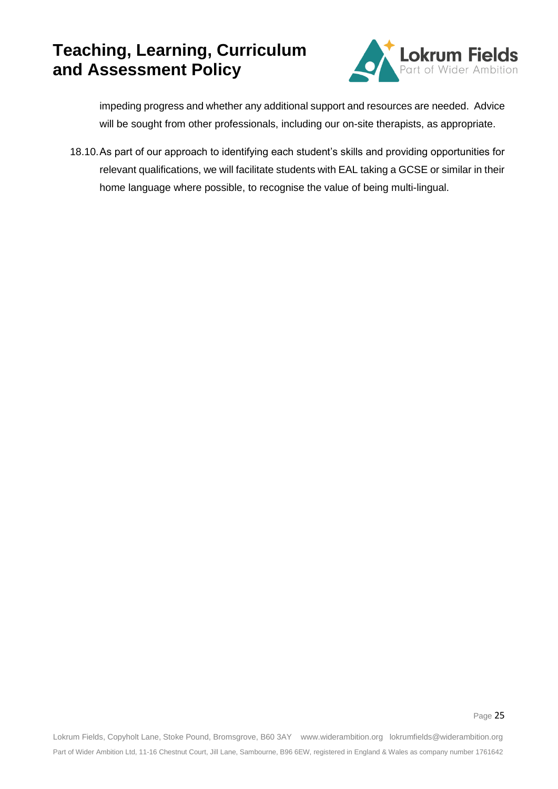

impeding progress and whether any additional support and resources are needed. Advice will be sought from other professionals, including our on-site therapists, as appropriate.

18.10.As part of our approach to identifying each student's skills and providing opportunities for relevant qualifications, we will facilitate students with EAL taking a GCSE or similar in their home language where possible, to recognise the value of being multi-lingual.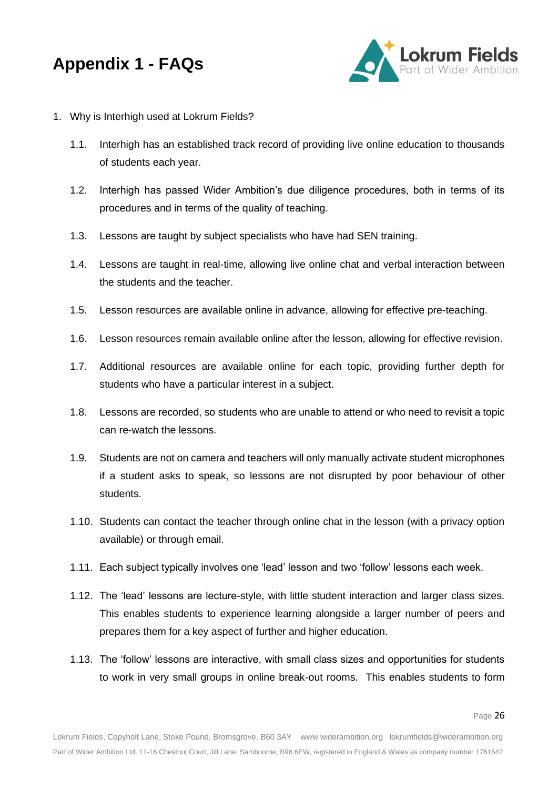

- 1. Why is Interhigh used at Lokrum Fields?
	- 1.1. Interhigh has an established track record of providing live online education to thousands of students each year.
	- 1.2. Interhigh has passed Wider Ambition's due diligence procedures, both in terms of its procedures and in terms of the quality of teaching.
	- 1.3. Lessons are taught by subject specialists who have had SEN training.
	- 1.4. Lessons are taught in real-time, allowing live online chat and verbal interaction between the students and the teacher.
	- 1.5. Lesson resources are available online in advance, allowing for effective pre-teaching.
	- 1.6. Lesson resources remain available online after the lesson, allowing for effective revision.
	- 1.7. Additional resources are available online for each topic, providing further depth for students who have a particular interest in a subject.
	- 1.8. Lessons are recorded, so students who are unable to attend or who need to revisit a topic can re-watch the lessons.
	- 1.9. Students are not on camera and teachers will only manually activate student microphones if a student asks to speak, so lessons are not disrupted by poor behaviour of other students.
	- 1.10. Students can contact the teacher through online chat in the lesson (with a privacy option available) or through email.
	- 1.11. Each subject typically involves one 'lead' lesson and two 'follow' lessons each week.
	- 1.12. The 'lead' lessons are lecture-style, with little student interaction and larger class sizes. This enables students to experience learning alongside a larger number of peers and prepares them for a key aspect of further and higher education.
	- 1.13. The 'follow' lessons are interactive, with small class sizes and opportunities for students to work in very small groups in online break-out rooms. This enables students to form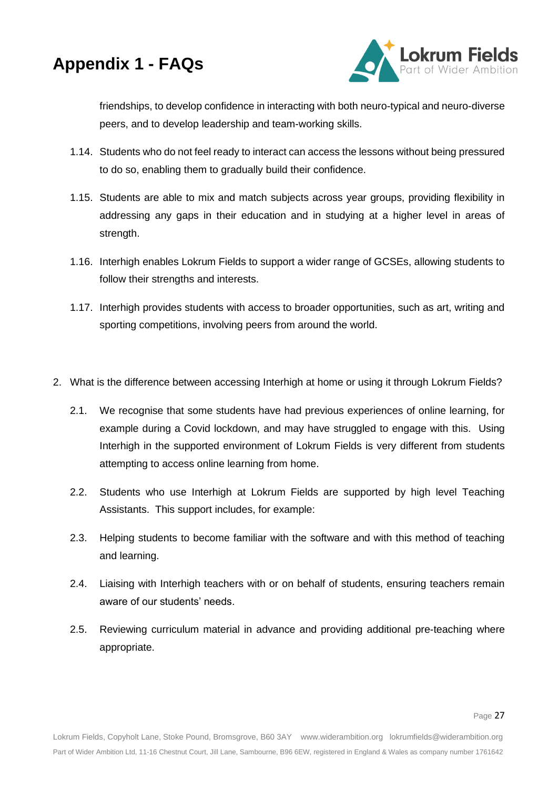![](_page_26_Picture_0.jpeg)

![](_page_26_Picture_1.jpeg)

friendships, to develop confidence in interacting with both neuro-typical and neuro-diverse peers, and to develop leadership and team-working skills.

- 1.14. Students who do not feel ready to interact can access the lessons without being pressured to do so, enabling them to gradually build their confidence.
- 1.15. Students are able to mix and match subjects across year groups, providing flexibility in addressing any gaps in their education and in studying at a higher level in areas of strength.
- 1.16. Interhigh enables Lokrum Fields to support a wider range of GCSEs, allowing students to follow their strengths and interests.
- 1.17. Interhigh provides students with access to broader opportunities, such as art, writing and sporting competitions, involving peers from around the world.
- 2. What is the difference between accessing Interhigh at home or using it through Lokrum Fields?
	- 2.1. We recognise that some students have had previous experiences of online learning, for example during a Covid lockdown, and may have struggled to engage with this. Using Interhigh in the supported environment of Lokrum Fields is very different from students attempting to access online learning from home.
	- 2.2. Students who use Interhigh at Lokrum Fields are supported by high level Teaching Assistants. This support includes, for example:
	- 2.3. Helping students to become familiar with the software and with this method of teaching and learning.
	- 2.4. Liaising with Interhigh teachers with or on behalf of students, ensuring teachers remain aware of our students' needs.
	- 2.5. Reviewing curriculum material in advance and providing additional pre-teaching where appropriate.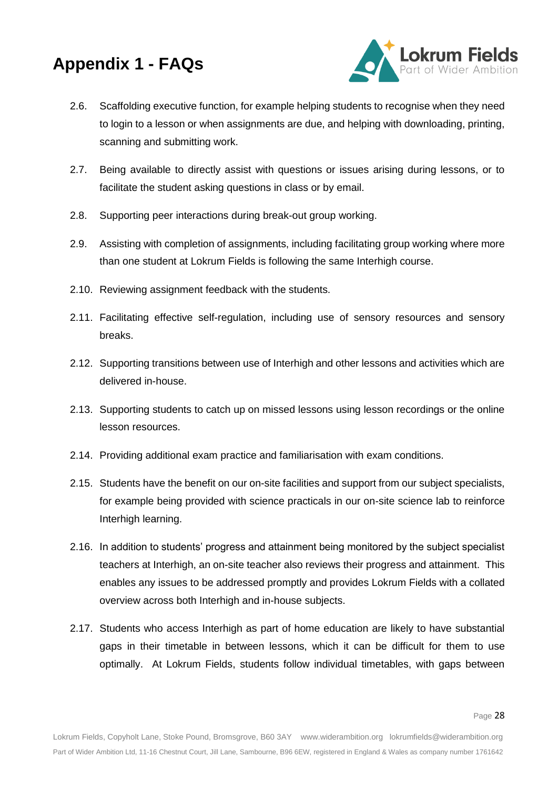![](_page_27_Picture_1.jpeg)

- 2.6. Scaffolding executive function, for example helping students to recognise when they need to login to a lesson or when assignments are due, and helping with downloading, printing, scanning and submitting work.
- 2.7. Being available to directly assist with questions or issues arising during lessons, or to facilitate the student asking questions in class or by email.
- 2.8. Supporting peer interactions during break-out group working.
- 2.9. Assisting with completion of assignments, including facilitating group working where more than one student at Lokrum Fields is following the same Interhigh course.
- 2.10. Reviewing assignment feedback with the students.
- 2.11. Facilitating effective self-regulation, including use of sensory resources and sensory breaks.
- 2.12. Supporting transitions between use of Interhigh and other lessons and activities which are delivered in-house.
- 2.13. Supporting students to catch up on missed lessons using lesson recordings or the online lesson resources.
- 2.14. Providing additional exam practice and familiarisation with exam conditions.
- 2.15. Students have the benefit on our on-site facilities and support from our subject specialists, for example being provided with science practicals in our on-site science lab to reinforce Interhigh learning.
- 2.16. In addition to students' progress and attainment being monitored by the subject specialist teachers at Interhigh, an on-site teacher also reviews their progress and attainment. This enables any issues to be addressed promptly and provides Lokrum Fields with a collated overview across both Interhigh and in-house subjects.
- 2.17. Students who access Interhigh as part of home education are likely to have substantial gaps in their timetable in between lessons, which it can be difficult for them to use optimally. At Lokrum Fields, students follow individual timetables, with gaps between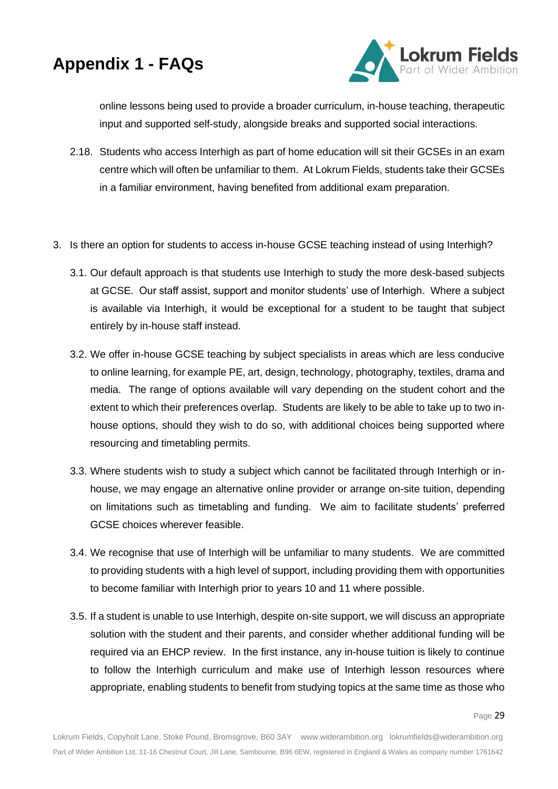![](_page_28_Picture_1.jpeg)

online lessons being used to provide a broader curriculum, in-house teaching, therapeutic input and supported self-study, alongside breaks and supported social interactions.

- 2.18. Students who access Interhigh as part of home education will sit their GCSEs in an exam centre which will often be unfamiliar to them. At Lokrum Fields, students take their GCSEs in a familiar environment, having benefited from additional exam preparation.
- 3. Is there an option for students to access in-house GCSE teaching instead of using Interhigh?
	- 3.1. Our default approach is that students use Interhigh to study the more desk-based subjects at GCSE. Our staff assist, support and monitor students' use of Interhigh. Where a subject is available via Interhigh, it would be exceptional for a student to be taught that subject entirely by in-house staff instead.
	- 3.2. We offer in-house GCSE teaching by subject specialists in areas which are less conducive to online learning, for example PE, art, design, technology, photography, textiles, drama and media. The range of options available will vary depending on the student cohort and the extent to which their preferences overlap. Students are likely to be able to take up to two inhouse options, should they wish to do so, with additional choices being supported where resourcing and timetabling permits.
	- 3.3. Where students wish to study a subject which cannot be facilitated through Interhigh or inhouse, we may engage an alternative online provider or arrange on-site tuition, depending on limitations such as timetabling and funding. We aim to facilitate students' preferred GCSE choices wherever feasible.
	- 3.4. We recognise that use of Interhigh will be unfamiliar to many students. We are committed to providing students with a high level of support, including providing them with opportunities to become familiar with Interhigh prior to years 10 and 11 where possible.
	- 3.5. If a student is unable to use Interhigh, despite on-site support, we will discuss an appropriate solution with the student and their parents, and consider whether additional funding will be required via an EHCP review. In the first instance, any in-house tuition is likely to continue to follow the Interhigh curriculum and make use of Interhigh lesson resources where appropriate, enabling students to benefit from studying topics at the same time as those who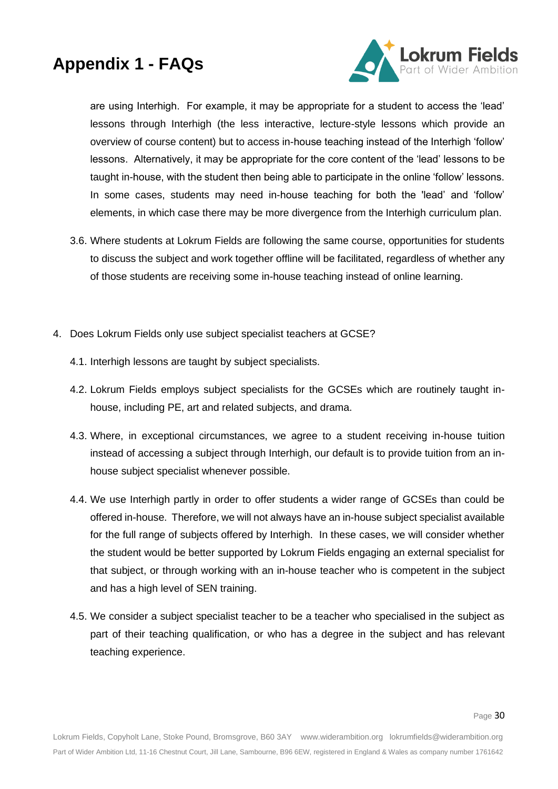![](_page_29_Picture_1.jpeg)

are using Interhigh. For example, it may be appropriate for a student to access the 'lead' lessons through Interhigh (the less interactive, lecture-style lessons which provide an overview of course content) but to access in-house teaching instead of the Interhigh 'follow' lessons. Alternatively, it may be appropriate for the core content of the 'lead' lessons to be taught in-house, with the student then being able to participate in the online 'follow' lessons. In some cases, students may need in-house teaching for both the 'lead' and 'follow' elements, in which case there may be more divergence from the Interhigh curriculum plan.

- 3.6. Where students at Lokrum Fields are following the same course, opportunities for students to discuss the subject and work together offline will be facilitated, regardless of whether any of those students are receiving some in-house teaching instead of online learning.
- 4. Does Lokrum Fields only use subject specialist teachers at GCSE?
	- 4.1. Interhigh lessons are taught by subject specialists.
	- 4.2. Lokrum Fields employs subject specialists for the GCSEs which are routinely taught inhouse, including PE, art and related subjects, and drama.
	- 4.3. Where, in exceptional circumstances, we agree to a student receiving in-house tuition instead of accessing a subject through Interhigh, our default is to provide tuition from an inhouse subject specialist whenever possible.
	- 4.4. We use Interhigh partly in order to offer students a wider range of GCSEs than could be offered in-house. Therefore, we will not always have an in-house subject specialist available for the full range of subjects offered by Interhigh. In these cases, we will consider whether the student would be better supported by Lokrum Fields engaging an external specialist for that subject, or through working with an in-house teacher who is competent in the subject and has a high level of SEN training.
	- 4.5. We consider a subject specialist teacher to be a teacher who specialised in the subject as part of their teaching qualification, or who has a degree in the subject and has relevant teaching experience.